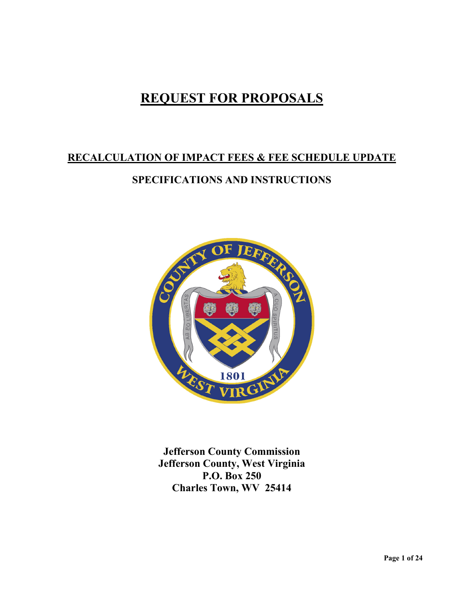# **REQUEST FOR PROPOSALS**

# **RECALCULATION OF IMPACT FEES & FEE SCHEDULE UPDATE**

# **SPECIFICATIONS AND INSTRUCTIONS**



**Jefferson County Commission Jefferson County, West Virginia P.O. Box 250 Charles Town, WV 25414**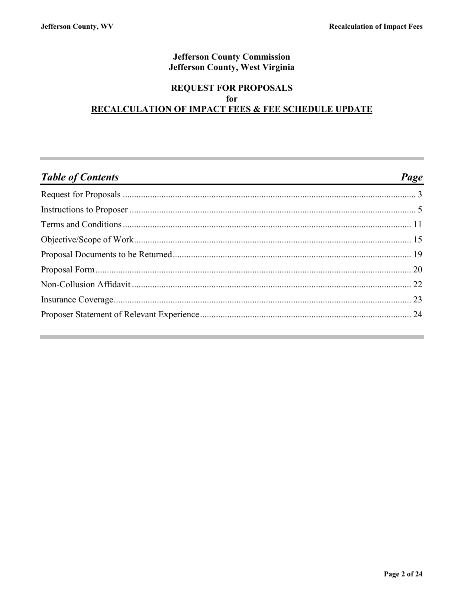### **Jefferson County Commission** Jefferson County, West Virginia

### **REQUEST FOR PROPOSALS** for **RECALCULATION OF IMPACT FEES & FEE SCHEDULE UPDATE**

| <b>Table of Contents</b><br><u> 1980 - Andrea Andrew Maria (h. 1980).</u> | Page |
|---------------------------------------------------------------------------|------|
|                                                                           |      |
|                                                                           |      |
|                                                                           |      |
|                                                                           |      |
|                                                                           |      |
|                                                                           |      |
|                                                                           |      |
|                                                                           |      |
|                                                                           |      |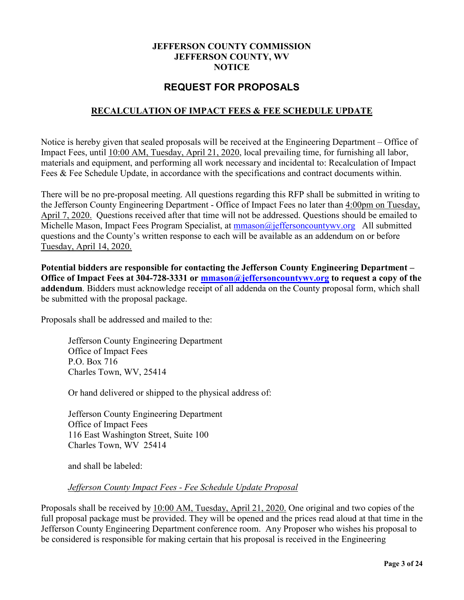#### **JEFFERSON COUNTY COMMISSION JEFFERSON COUNTY, WV NOTICE**

### **REQUEST FOR PROPOSALS**

### <span id="page-2-0"></span>**RECALCULATION OF IMPACT FEES & FEE SCHEDULE UPDATE**

Notice is hereby given that sealed proposals will be received at the Engineering Department – Office of Impact Fees, until 10:00 AM, Tuesday, April 21, 2020, local prevailing time, for furnishing all labor, materials and equipment, and performing all work necessary and incidental to: Recalculation of Impact Fees & Fee Schedule Update, in accordance with the specifications and contract documents within.

There will be no pre-proposal meeting. All questions regarding this RFP shall be submitted in writing to the Jefferson County Engineering Department - Office of Impact Fees no later than 4:00pm on Tuesday, April 7, 2020. Questions received after that time will not be addressed. Questions should be emailed to Michelle Mason, Impact Fees Program Specialist, at mmason@jeffersoncountywy.org All submitted questions and the County's written response to each will be available as an addendum on or before Tuesday, April 14, 2020.

**Potential bidders are responsible for contacting the Jefferson County Engineering Department – Office of Impact Fees at 304-728-3331 or [mmason@jeffersoncountywv.org](mailto:mmason@jeffersoncountywv.org) to request a copy of the addendum**. Bidders must acknowledge receipt of all addenda on the County proposal form, which shall be submitted with the proposal package.

Proposals shall be addressed and mailed to the:

Jefferson County Engineering Department Office of Impact Fees P.O. Box 716 Charles Town, WV, 25414

Or hand delivered or shipped to the physical address of:

Jefferson County Engineering Department Office of Impact Fees 116 East Washington Street, Suite 100 Charles Town, WV 25414

and shall be labeled:

#### *Jefferson County Impact Fees - Fee Schedule Update Proposal*

Proposals shall be received by 10:00 AM, Tuesday, April 21, 2020. One original and two copies of the full proposal package must be provided. They will be opened and the prices read aloud at that time in the Jefferson County Engineering Department conference room. Any Proposer who wishes his proposal to be considered is responsible for making certain that his proposal is received in the Engineering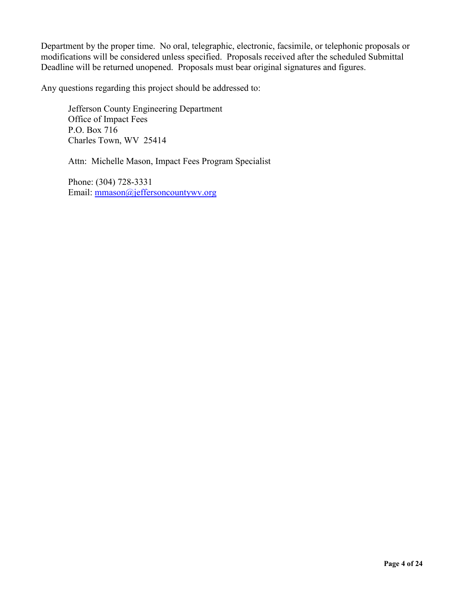Department by the proper time. No oral, telegraphic, electronic, facsimile, or telephonic proposals or modifications will be considered unless specified. Proposals received after the scheduled Submittal Deadline will be returned unopened. Proposals must bear original signatures and figures.

Any questions regarding this project should be addressed to:

Jefferson County Engineering Department Office of Impact Fees P.O. Box 716 Charles Town, WV 25414

Attn: Michelle Mason, Impact Fees Program Specialist

Phone: (304) 728-3331 Email: [mmason@jeffersoncountywv.org](mailto:mmason@jeffersoncountywv.org)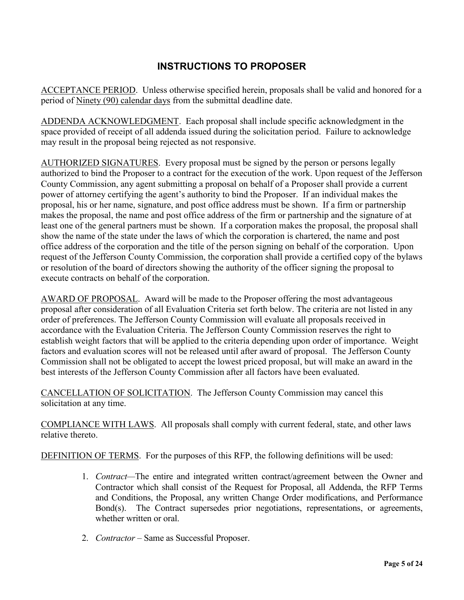# **INSTRUCTIONS TO PROPOSER**

<span id="page-4-0"></span>ACCEPTANCE PERIOD. Unless otherwise specified herein, proposals shall be valid and honored for a period of Ninety (90) calendar days from the submittal deadline date.

ADDENDA ACKNOWLEDGMENT. Each proposal shall include specific acknowledgment in the space provided of receipt of all addenda issued during the solicitation period. Failure to acknowledge may result in the proposal being rejected as not responsive.

AUTHORIZED SIGNATURES. Every proposal must be signed by the person or persons legally authorized to bind the Proposer to a contract for the execution of the work. Upon request of the Jefferson County Commission, any agent submitting a proposal on behalf of a Proposer shall provide a current power of attorney certifying the agent's authority to bind the Proposer. If an individual makes the proposal, his or her name, signature, and post office address must be shown. If a firm or partnership makes the proposal, the name and post office address of the firm or partnership and the signature of at least one of the general partners must be shown. If a corporation makes the proposal, the proposal shall show the name of the state under the laws of which the corporation is chartered, the name and post office address of the corporation and the title of the person signing on behalf of the corporation. Upon request of the Jefferson County Commission, the corporation shall provide a certified copy of the bylaws or resolution of the board of directors showing the authority of the officer signing the proposal to execute contracts on behalf of the corporation.

AWARD OF PROPOSAL. Award will be made to the Proposer offering the most advantageous proposal after consideration of all Evaluation Criteria set forth below. The criteria are not listed in any order of preferences. The Jefferson County Commission will evaluate all proposals received in accordance with the Evaluation Criteria. The Jefferson County Commission reserves the right to establish weight factors that will be applied to the criteria depending upon order of importance. Weight factors and evaluation scores will not be released until after award of proposal. The Jefferson County Commission shall not be obligated to accept the lowest priced proposal, but will make an award in the best interests of the Jefferson County Commission after all factors have been evaluated.

CANCELLATION OF SOLICITATION. The Jefferson County Commission may cancel this solicitation at any time.

COMPLIANCE WITH LAWS. All proposals shall comply with current federal, state, and other laws relative thereto.

DEFINITION OF TERMS. For the purposes of this RFP, the following definitions will be used:

- 1. *Contract—*The entire and integrated written contract/agreement between the Owner and Contractor which shall consist of the Request for Proposal, all Addenda, the RFP Terms and Conditions, the Proposal, any written Change Order modifications, and Performance Bond(s). The Contract supersedes prior negotiations, representations, or agreements, whether written or oral.
- 2. *Contractor –* Same as Successful Proposer.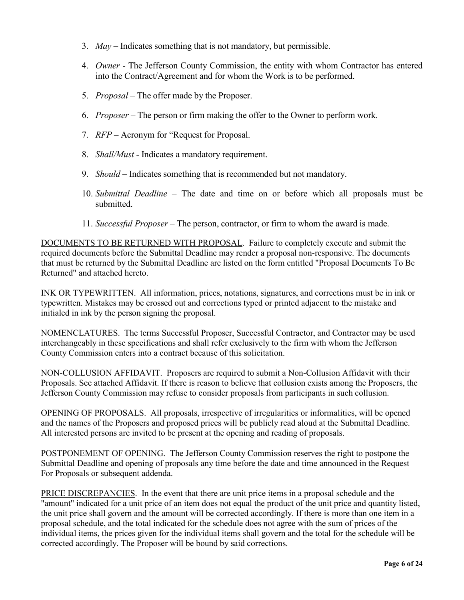- 3. *May –* Indicates something that is not mandatory, but permissible.
- 4. *Owner -* The Jefferson County Commission, the entity with whom Contractor has entered into the Contract/Agreement and for whom the Work is to be performed.
- 5. *Proposal –* The offer made by the Proposer.
- 6. *Proposer –* The person or firm making the offer to the Owner to perform work.
- 7. *RFP –* Acronym for "Request for Proposal.
- 8. *Shall/Must -* Indicates a mandatory requirement.
- 9. *Should –* Indicates something that is recommended but not mandatory.
- 10. *Submittal Deadline –* The date and time on or before which all proposals must be submitted.
- 11. *Successful Proposer –* The person, contractor, or firm to whom the award is made.

DOCUMENTS TO BE RETURNED WITH PROPOSAL. Failure to completely execute and submit the required documents before the Submittal Deadline may render a proposal non-responsive. The documents that must be returned by the Submittal Deadline are listed on the form entitled "Proposal Documents To Be Returned" and attached hereto.

INK OR TYPEWRITTEN. All information, prices, notations, signatures, and corrections must be in ink or typewritten. Mistakes may be crossed out and corrections typed or printed adjacent to the mistake and initialed in ink by the person signing the proposal.

NOMENCLATURES. The terms Successful Proposer, Successful Contractor, and Contractor may be used interchangeably in these specifications and shall refer exclusively to the firm with whom the Jefferson County Commission enters into a contract because of this solicitation.

NON-COLLUSION AFFIDAVIT. Proposers are required to submit a Non-Collusion Affidavit with their Proposals. See attached Affidavit. If there is reason to believe that collusion exists among the Proposers, the Jefferson County Commission may refuse to consider proposals from participants in such collusion.

OPENING OF PROPOSALS. All proposals, irrespective of irregularities or informalities, will be opened and the names of the Proposers and proposed prices will be publicly read aloud at the Submittal Deadline. All interested persons are invited to be present at the opening and reading of proposals.

POSTPONEMENT OF OPENING. The Jefferson County Commission reserves the right to postpone the Submittal Deadline and opening of proposals any time before the date and time announced in the Request For Proposals or subsequent addenda.

PRICE DISCREPANCIES. In the event that there are unit price items in a proposal schedule and the "amount" indicated for a unit price of an item does not equal the product of the unit price and quantity listed, the unit price shall govern and the amount will be corrected accordingly. If there is more than one item in a proposal schedule, and the total indicated for the schedule does not agree with the sum of prices of the individual items, the prices given for the individual items shall govern and the total for the schedule will be corrected accordingly. The Proposer will be bound by said corrections.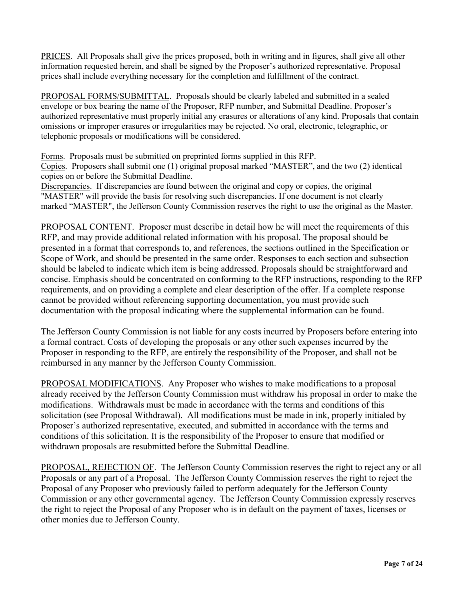PRICES. All Proposals shall give the prices proposed, both in writing and in figures, shall give all other information requested herein, and shall be signed by the Proposer's authorized representative. Proposal prices shall include everything necessary for the completion and fulfillment of the contract.

PROPOSAL FORMS/SUBMITTAL. Proposals should be clearly labeled and submitted in a sealed envelope or box bearing the name of the Proposer, RFP number, and Submittal Deadline. Proposer's authorized representative must properly initial any erasures or alterations of any kind. Proposals that contain omissions or improper erasures or irregularities may be rejected. No oral, electronic, telegraphic, or telephonic proposals or modifications will be considered.

Forms. Proposals must be submitted on preprinted forms supplied in this RFP.

Copies. Proposers shall submit one (1) original proposal marked "MASTER", and the two (2) identical copies on or before the Submittal Deadline.

Discrepancies. If discrepancies are found between the original and copy or copies, the original "MASTER" will provide the basis for resolving such discrepancies. If one document is not clearly marked "MASTER", the Jefferson County Commission reserves the right to use the original as the Master.

PROPOSAL CONTENT. Proposer must describe in detail how he will meet the requirements of this RFP, and may provide additional related information with his proposal. The proposal should be presented in a format that corresponds to, and references, the sections outlined in the Specification or Scope of Work, and should be presented in the same order. Responses to each section and subsection should be labeled to indicate which item is being addressed. Proposals should be straightforward and concise. Emphasis should be concentrated on conforming to the RFP instructions, responding to the RFP requirements, and on providing a complete and clear description of the offer. If a complete response cannot be provided without referencing supporting documentation, you must provide such documentation with the proposal indicating where the supplemental information can be found.

The Jefferson County Commission is not liable for any costs incurred by Proposers before entering into a formal contract. Costs of developing the proposals or any other such expenses incurred by the Proposer in responding to the RFP, are entirely the responsibility of the Proposer, and shall not be reimbursed in any manner by the Jefferson County Commission.

PROPOSAL MODIFICATIONS. Any Proposer who wishes to make modifications to a proposal already received by the Jefferson County Commission must withdraw his proposal in order to make the modifications. Withdrawals must be made in accordance with the terms and conditions of this solicitation (see Proposal Withdrawal). All modifications must be made in ink, properly initialed by Proposer's authorized representative, executed, and submitted in accordance with the terms and conditions of this solicitation. It is the responsibility of the Proposer to ensure that modified or withdrawn proposals are resubmitted before the Submittal Deadline.

PROPOSAL, REJECTION OF. The Jefferson County Commission reserves the right to reject any or all Proposals or any part of a Proposal. The Jefferson County Commission reserves the right to reject the Proposal of any Proposer who previously failed to perform adequately for the Jefferson County Commission or any other governmental agency. The Jefferson County Commission expressly reserves the right to reject the Proposal of any Proposer who is in default on the payment of taxes, licenses or other monies due to Jefferson County.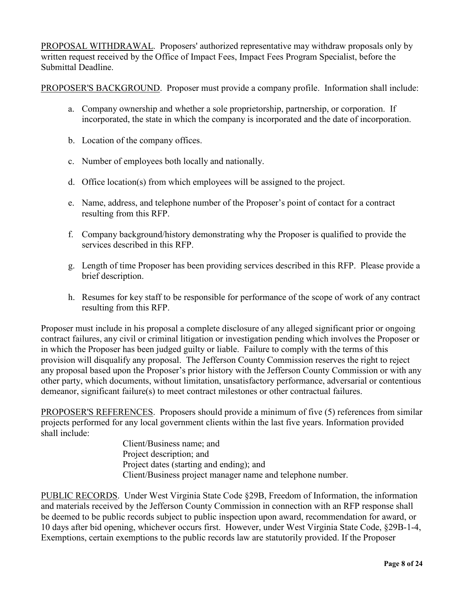PROPOSAL WITHDRAWAL. Proposers' authorized representative may withdraw proposals only by written request received by the Office of Impact Fees, Impact Fees Program Specialist, before the Submittal Deadline.

PROPOSER'S BACKGROUND. Proposer must provide a company profile. Information shall include:

- a. Company ownership and whether a sole proprietorship, partnership, or corporation. If incorporated, the state in which the company is incorporated and the date of incorporation.
- b. Location of the company offices.
- c. Number of employees both locally and nationally.
- d. Office location(s) from which employees will be assigned to the project.
- e. Name, address, and telephone number of the Proposer's point of contact for a contract resulting from this RFP.
- f. Company background/history demonstrating why the Proposer is qualified to provide the services described in this RFP.
- g. Length of time Proposer has been providing services described in this RFP. Please provide a brief description.
- h. Resumes for key staff to be responsible for performance of the scope of work of any contract resulting from this RFP.

Proposer must include in his proposal a complete disclosure of any alleged significant prior or ongoing contract failures, any civil or criminal litigation or investigation pending which involves the Proposer or in which the Proposer has been judged guilty or liable. Failure to comply with the terms of this provision will disqualify any proposal. The Jefferson County Commission reserves the right to reject any proposal based upon the Proposer's prior history with the Jefferson County Commission or with any other party, which documents, without limitation, unsatisfactory performance, adversarial or contentious demeanor, significant failure(s) to meet contract milestones or other contractual failures.

PROPOSER'S REFERENCES. Proposers should provide a minimum of five (5) references from similar projects performed for any local government clients within the last five years. Information provided shall include:

> Client/Business name; and Project description; and Project dates (starting and ending); and Client/Business project manager name and telephone number.

PUBLIC RECORDS. Under West Virginia State Code §29B, Freedom of Information, the information and materials received by the Jefferson County Commission in connection with an RFP response shall be deemed to be public records subject to public inspection upon award, recommendation for award, or 10 days after bid opening, whichever occurs first. However, under West Virginia State Code, §29B-1-4, Exemptions, certain exemptions to the public records law are statutorily provided. If the Proposer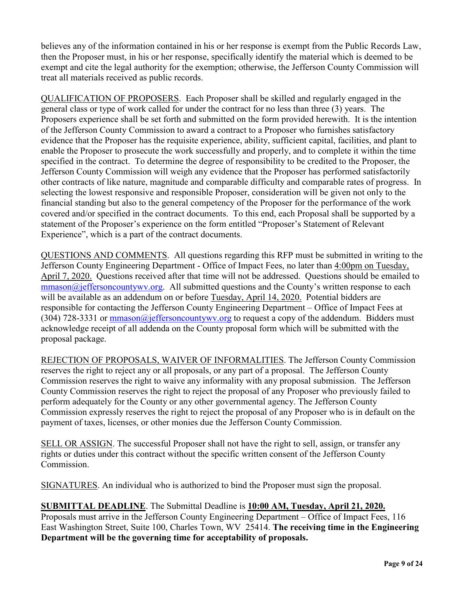believes any of the information contained in his or her response is exempt from the Public Records Law, then the Proposer must, in his or her response, specifically identify the material which is deemed to be exempt and cite the legal authority for the exemption; otherwise, the Jefferson County Commission will treat all materials received as public records.

QUALIFICATION OF PROPOSERS. Each Proposer shall be skilled and regularly engaged in the general class or type of work called for under the contract for no less than three (3) years. The Proposers experience shall be set forth and submitted on the form provided herewith. It is the intention of the Jefferson County Commission to award a contract to a Proposer who furnishes satisfactory evidence that the Proposer has the requisite experience, ability, sufficient capital, facilities, and plant to enable the Proposer to prosecute the work successfully and properly, and to complete it within the time specified in the contract. To determine the degree of responsibility to be credited to the Proposer, the Jefferson County Commission will weigh any evidence that the Proposer has performed satisfactorily other contracts of like nature, magnitude and comparable difficulty and comparable rates of progress. In selecting the lowest responsive and responsible Proposer, consideration will be given not only to the financial standing but also to the general competency of the Proposer for the performance of the work covered and/or specified in the contract documents. To this end, each Proposal shall be supported by a statement of the Proposer's experience on the form entitled "Proposer's Statement of Relevant Experience", which is a part of the contract documents.

QUESTIONS AND COMMENTS. All questions regarding this RFP must be submitted in writing to the Jefferson County Engineering Department - Office of Impact Fees, no later than 4:00pm on Tuesday, April 7, 2020. Questions received after that time will not be addressed. Questions should be emailed to  $\frac{m \cdot m}{m \cdot m}$  mmason $\omega$  is ffersoncountywv.org. All submitted questions and the County's written response to each will be available as an addendum on or before Tuesday, April 14, 2020. Potential bidders are responsible for contacting the Jefferson County Engineering Department – Office of Impact Fees at (304) 728-3331 or  $\frac{m}{2}$  of  $\frac{m}{2}$  of fersoncountywv.org to request a copy of the addendum. Bidders must acknowledge receipt of all addenda on the County proposal form which will be submitted with the proposal package.

REJECTION OF PROPOSALS, WAIVER OF INFORMALITIES. The Jefferson County Commission reserves the right to reject any or all proposals, or any part of a proposal. The Jefferson County Commission reserves the right to waive any informality with any proposal submission. The Jefferson County Commission reserves the right to reject the proposal of any Proposer who previously failed to perform adequately for the County or any other governmental agency. The Jefferson County Commission expressly reserves the right to reject the proposal of any Proposer who is in default on the payment of taxes, licenses, or other monies due the Jefferson County Commission.

SELL OR ASSIGN. The successful Proposer shall not have the right to sell, assign, or transfer any rights or duties under this contract without the specific written consent of the Jefferson County Commission.

SIGNATURES. An individual who is authorized to bind the Proposer must sign the proposal.

#### **SUBMITTAL DEADLINE**. The Submittal Deadline is **10:00 AM, Tuesday, April 21, 2020.** Proposals must arrive in the Jefferson County Engineering Department – Office of Impact Fees, 116 East Washington Street, Suite 100, Charles Town, WV 25414. **The receiving time in the Engineering Department will be the governing time for acceptability of proposals.**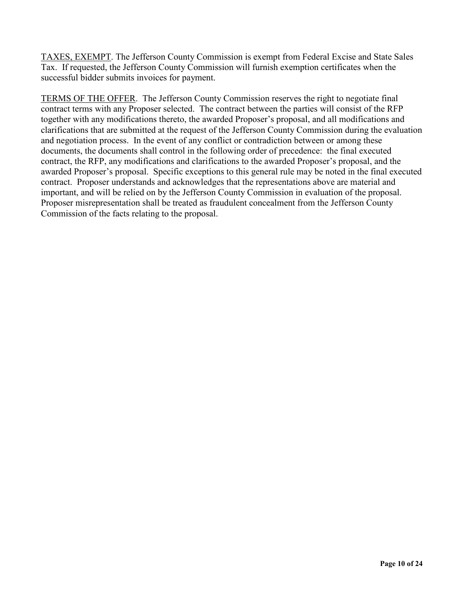TAXES, EXEMPT. The Jefferson County Commission is exempt from Federal Excise and State Sales Tax. If requested, the Jefferson County Commission will furnish exemption certificates when the successful bidder submits invoices for payment.

TERMS OF THE OFFER. The Jefferson County Commission reserves the right to negotiate final contract terms with any Proposer selected. The contract between the parties will consist of the RFP together with any modifications thereto, the awarded Proposer's proposal, and all modifications and clarifications that are submitted at the request of the Jefferson County Commission during the evaluation and negotiation process. In the event of any conflict or contradiction between or among these documents, the documents shall control in the following order of precedence: the final executed contract, the RFP, any modifications and clarifications to the awarded Proposer's proposal, and the awarded Proposer's proposal. Specific exceptions to this general rule may be noted in the final executed contract. Proposer understands and acknowledges that the representations above are material and important, and will be relied on by the Jefferson County Commission in evaluation of the proposal. Proposer misrepresentation shall be treated as fraudulent concealment from the Jefferson County Commission of the facts relating to the proposal.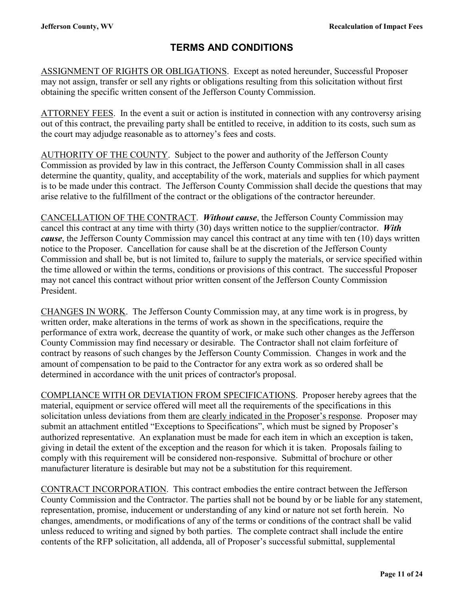# **TERMS AND CONDITIONS**

<span id="page-10-0"></span>ASSIGNMENT OF RIGHTS OR OBLIGATIONS. Except as noted hereunder, Successful Proposer may not assign, transfer or sell any rights or obligations resulting from this solicitation without first obtaining the specific written consent of the Jefferson County Commission.

ATTORNEY FEES. In the event a suit or action is instituted in connection with any controversy arising out of this contract, the prevailing party shall be entitled to receive, in addition to its costs, such sum as the court may adjudge reasonable as to attorney's fees and costs.

AUTHORITY OF THE COUNTY. Subject to the power and authority of the Jefferson County Commission as provided by law in this contract, the Jefferson County Commission shall in all cases determine the quantity, quality, and acceptability of the work, materials and supplies for which payment is to be made under this contract. The Jefferson County Commission shall decide the questions that may arise relative to the fulfillment of the contract or the obligations of the contractor hereunder.

CANCELLATION OF THE CONTRACT. *Without cause*, the Jefferson County Commission may cancel this contract at any time with thirty (30) days written notice to the supplier/contractor. *With cause*, the Jefferson County Commission may cancel this contract at any time with ten (10) days written notice to the Proposer. Cancellation for cause shall be at the discretion of the Jefferson County Commission and shall be, but is not limited to, failure to supply the materials, or service specified within the time allowed or within the terms, conditions or provisions of this contract. The successful Proposer may not cancel this contract without prior written consent of the Jefferson County Commission President.

CHANGES IN WORK. The Jefferson County Commission may, at any time work is in progress, by written order, make alterations in the terms of work as shown in the specifications, require the performance of extra work, decrease the quantity of work, or make such other changes as the Jefferson County Commission may find necessary or desirable. The Contractor shall not claim forfeiture of contract by reasons of such changes by the Jefferson County Commission. Changes in work and the amount of compensation to be paid to the Contractor for any extra work as so ordered shall be determined in accordance with the unit prices of contractor's proposal.

COMPLIANCE WITH OR DEVIATION FROM SPECIFICATIONS. Proposer hereby agrees that the material, equipment or service offered will meet all the requirements of the specifications in this solicitation unless deviations from them are clearly indicated in the Proposer's response. Proposer may submit an attachment entitled "Exceptions to Specifications", which must be signed by Proposer's authorized representative. An explanation must be made for each item in which an exception is taken, giving in detail the extent of the exception and the reason for which it is taken. Proposals failing to comply with this requirement will be considered non-responsive. Submittal of brochure or other manufacturer literature is desirable but may not be a substitution for this requirement.

CONTRACT INCORPORATION. This contract embodies the entire contract between the Jefferson County Commission and the Contractor. The parties shall not be bound by or be liable for any statement, representation, promise, inducement or understanding of any kind or nature not set forth herein. No changes, amendments, or modifications of any of the terms or conditions of the contract shall be valid unless reduced to writing and signed by both parties. The complete contract shall include the entire contents of the RFP solicitation, all addenda, all of Proposer's successful submittal, supplemental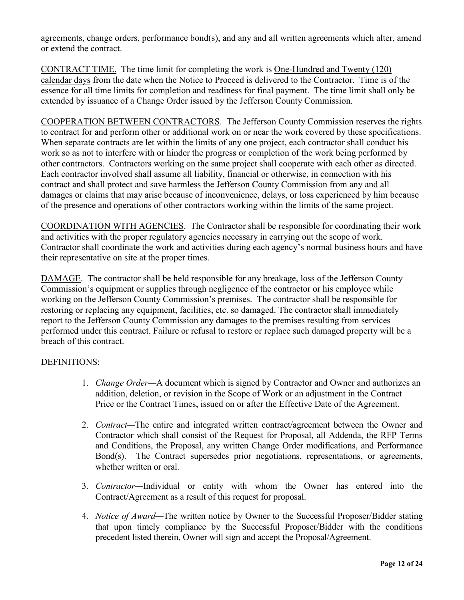agreements, change orders, performance bond(s), and any and all written agreements which alter, amend or extend the contract.

CONTRACT TIME. The time limit for completing the work is One-Hundred and Twenty (120) calendar days from the date when the Notice to Proceed is delivered to the Contractor. Time is of the essence for all time limits for completion and readiness for final payment. The time limit shall only be extended by issuance of a Change Order issued by the Jefferson County Commission.

COOPERATION BETWEEN CONTRACTORS. The Jefferson County Commission reserves the rights to contract for and perform other or additional work on or near the work covered by these specifications. When separate contracts are let within the limits of any one project, each contractor shall conduct his work so as not to interfere with or hinder the progress or completion of the work being performed by other contractors. Contractors working on the same project shall cooperate with each other as directed. Each contractor involved shall assume all liability, financial or otherwise, in connection with his contract and shall protect and save harmless the Jefferson County Commission from any and all damages or claims that may arise because of inconvenience, delays, or loss experienced by him because of the presence and operations of other contractors working within the limits of the same project.

COORDINATION WITH AGENCIES. The Contractor shall be responsible for coordinating their work and activities with the proper regulatory agencies necessary in carrying out the scope of work. Contractor shall coordinate the work and activities during each agency's normal business hours and have their representative on site at the proper times.

DAMAGE. The contractor shall be held responsible for any breakage, loss of the Jefferson County Commission's equipment or supplies through negligence of the contractor or his employee while working on the Jefferson County Commission's premises. The contractor shall be responsible for restoring or replacing any equipment, facilities, etc. so damaged. The contractor shall immediately report to the Jefferson County Commission any damages to the premises resulting from services performed under this contract. Failure or refusal to restore or replace such damaged property will be a breach of this contract.

#### DEFINITIONS:

- 1. *Change Order—*A document which is signed by Contractor and Owner and authorizes an addition, deletion, or revision in the Scope of Work or an adjustment in the Contract Price or the Contract Times, issued on or after the Effective Date of the Agreement.
- 2. *Contract—*The entire and integrated written contract/agreement between the Owner and Contractor which shall consist of the Request for Proposal, all Addenda, the RFP Terms and Conditions, the Proposal, any written Change Order modifications, and Performance Bond(s). The Contract supersedes prior negotiations, representations, or agreements, whether written or oral.
- 3. *Contractor—*Individual or entity with whom the Owner has entered into the Contract/Agreement as a result of this request for proposal.
- 4. *Notice of Award—*The written notice by Owner to the Successful Proposer/Bidder stating that upon timely compliance by the Successful Proposer/Bidder with the conditions precedent listed therein, Owner will sign and accept the Proposal/Agreement.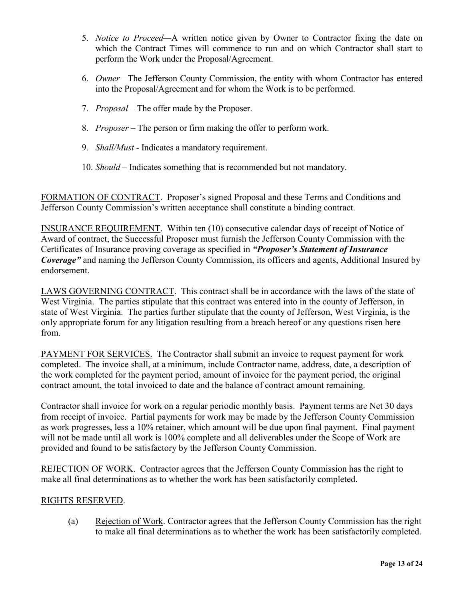- 5. *Notice to Proceed—*A written notice given by Owner to Contractor fixing the date on which the Contract Times will commence to run and on which Contractor shall start to perform the Work under the Proposal/Agreement.
- 6. *Owner—*The Jefferson County Commission, the entity with whom Contractor has entered into the Proposal/Agreement and for whom the Work is to be performed.
- 7. *Proposal –* The offer made by the Proposer.
- 8. *Proposer –* The person or firm making the offer to perform work.
- 9. *Shall/Must -* Indicates a mandatory requirement.
- 10. *Should –* Indicates something that is recommended but not mandatory.

FORMATION OF CONTRACT. Proposer's signed Proposal and these Terms and Conditions and Jefferson County Commission's written acceptance shall constitute a binding contract.

INSURANCE REQUIREMENT. Within ten (10) consecutive calendar days of receipt of Notice of Award of contract, the Successful Proposer must furnish the Jefferson County Commission with the Certificates of Insurance proving coverage as specified in *"Proposer's Statement of Insurance Coverage"* and naming the Jefferson County Commission, its officers and agents, Additional Insured by endorsement.

LAWS GOVERNING CONTRACT. This contract shall be in accordance with the laws of the state of West Virginia. The parties stipulate that this contract was entered into in the county of Jefferson, in state of West Virginia. The parties further stipulate that the county of Jefferson, West Virginia, is the only appropriate forum for any litigation resulting from a breach hereof or any questions risen here from.

PAYMENT FOR SERVICES. The Contractor shall submit an invoice to request payment for work completed. The invoice shall, at a minimum, include Contractor name, address, date, a description of the work completed for the payment period, amount of invoice for the payment period, the original contract amount, the total invoiced to date and the balance of contract amount remaining.

Contractor shall invoice for work on a regular periodic monthly basis. Payment terms are Net 30 days from receipt of invoice. Partial payments for work may be made by the Jefferson County Commission as work progresses, less a 10% retainer, which amount will be due upon final payment. Final payment will not be made until all work is 100% complete and all deliverables under the Scope of Work are provided and found to be satisfactory by the Jefferson County Commission.

REJECTION OF WORK. Contractor agrees that the Jefferson County Commission has the right to make all final determinations as to whether the work has been satisfactorily completed.

#### RIGHTS RESERVED.

(a) Rejection of Work. Contractor agrees that the Jefferson County Commission has the right to make all final determinations as to whether the work has been satisfactorily completed.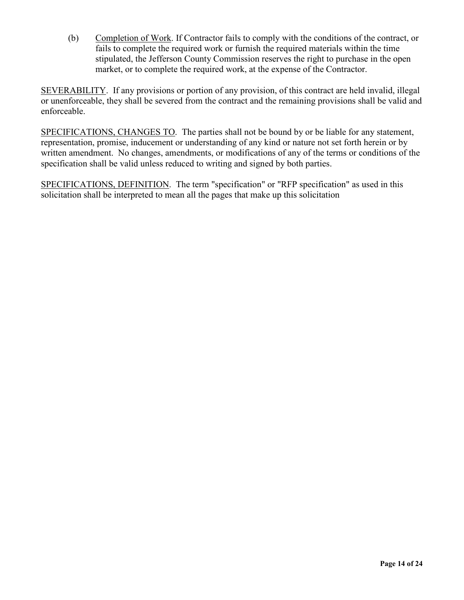(b) Completion of Work. If Contractor fails to comply with the conditions of the contract, or fails to complete the required work or furnish the required materials within the time stipulated, the Jefferson County Commission reserves the right to purchase in the open market, or to complete the required work, at the expense of the Contractor.

SEVERABILITY. If any provisions or portion of any provision, of this contract are held invalid, illegal or unenforceable, they shall be severed from the contract and the remaining provisions shall be valid and enforceable.

SPECIFICATIONS, CHANGES TO. The parties shall not be bound by or be liable for any statement, representation, promise, inducement or understanding of any kind or nature not set forth herein or by written amendment. No changes, amendments, or modifications of any of the terms or conditions of the specification shall be valid unless reduced to writing and signed by both parties.

SPECIFICATIONS, DEFINITION. The term "specification" or "RFP specification" as used in this solicitation shall be interpreted to mean all the pages that make up this solicitation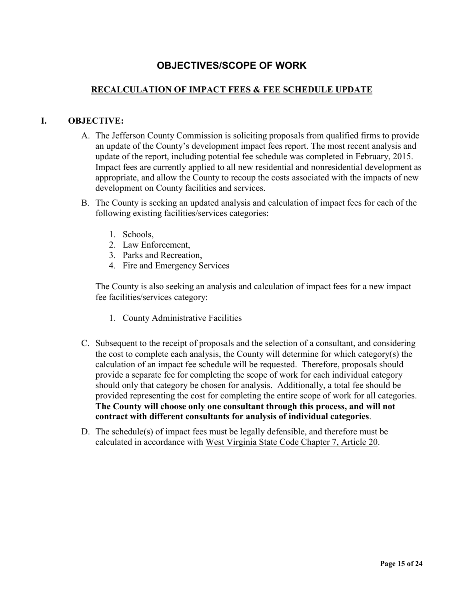# **OBJECTIVES/SCOPE OF WORK**

#### <span id="page-14-0"></span>**RECALCULATION OF IMPACT FEES & FEE SCHEDULE UPDATE**

#### **I. OBJECTIVE:**

- A. The Jefferson County Commission is soliciting proposals from qualified firms to provide an update of the County's development impact fees report. The most recent analysis and update of the report, including potential fee schedule was completed in February, 2015. Impact fees are currently applied to all new residential and nonresidential development as appropriate, and allow the County to recoup the costs associated with the impacts of new development on County facilities and services.
- B. The County is seeking an updated analysis and calculation of impact fees for each of the following existing facilities/services categories:
	- 1. Schools,
	- 2. Law Enforcement,
	- 3. Parks and Recreation,
	- 4. Fire and Emergency Services

The County is also seeking an analysis and calculation of impact fees for a new impact fee facilities/services category:

- 1. County Administrative Facilities
- C. Subsequent to the receipt of proposals and the selection of a consultant, and considering the cost to complete each analysis, the County will determine for which category(s) the calculation of an impact fee schedule will be requested. Therefore, proposals should provide a separate fee for completing the scope of work for each individual category should only that category be chosen for analysis. Additionally, a total fee should be provided representing the cost for completing the entire scope of work for all categories. **The County will choose only one consultant through this process, and will not contract with different consultants for analysis of individual categories**.
- D. The schedule(s) of impact fees must be legally defensible, and therefore must be calculated in accordance with West Virginia State Code Chapter 7, Article 20.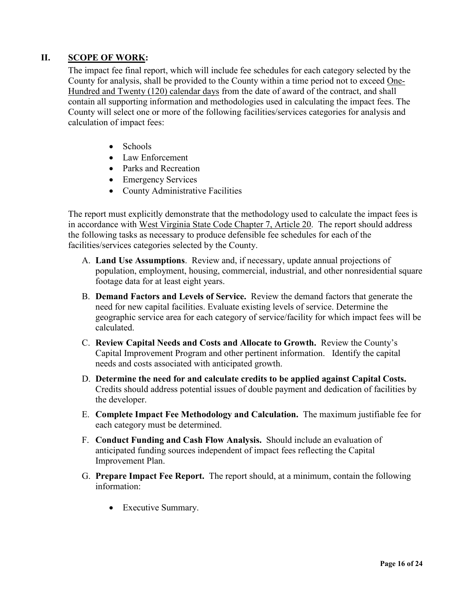#### **II. SCOPE OF WORK:**

The impact fee final report, which will include fee schedules for each category selected by the County for analysis, shall be provided to the County within a time period not to exceed One-Hundred and Twenty (120) calendar days from the date of award of the contract, and shall contain all supporting information and methodologies used in calculating the impact fees. The County will select one or more of the following facilities/services categories for analysis and calculation of impact fees:

- Schools
- Law Enforcement
- Parks and Recreation
- Emergency Services
- County Administrative Facilities

The report must explicitly demonstrate that the methodology used to calculate the impact fees is in accordance with West Virginia State Code Chapter 7, Article 20. The report should address the following tasks as necessary to produce defensible fee schedules for each of the facilities/services categories selected by the County.

- A. **Land Use Assumptions**. Review and, if necessary, update annual projections of population, employment, housing, commercial, industrial, and other nonresidential square footage data for at least eight years.
- B. **Demand Factors and Levels of Service.** Review the demand factors that generate the need for new capital facilities. Evaluate existing levels of service. Determine the geographic service area for each category of service/facility for which impact fees will be calculated.
- C. **Review Capital Needs and Costs and Allocate to Growth.** Review the County's Capital Improvement Program and other pertinent information. Identify the capital needs and costs associated with anticipated growth.
- D. **Determine the need for and calculate credits to be applied against Capital Costs.** Credits should address potential issues of double payment and dedication of facilities by the developer.
- E. **Complete Impact Fee Methodology and Calculation.** The maximum justifiable fee for each category must be determined.
- F. **Conduct Funding and Cash Flow Analysis.** Should include an evaluation of anticipated funding sources independent of impact fees reflecting the Capital Improvement Plan.
- G. **Prepare Impact Fee Report.** The report should, at a minimum, contain the following information:
	- Executive Summary.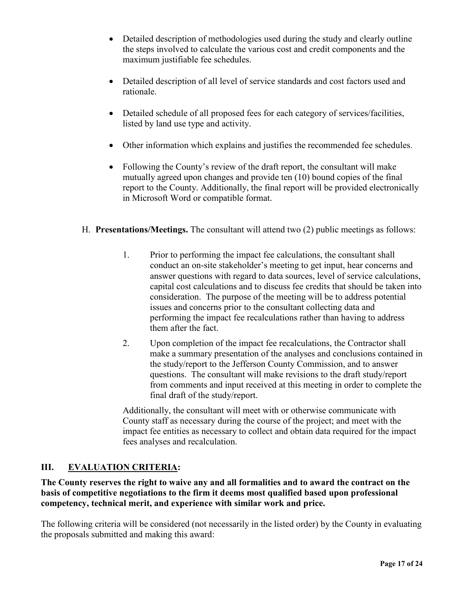- Detailed description of methodologies used during the study and clearly outline the steps involved to calculate the various cost and credit components and the maximum justifiable fee schedules.
- Detailed description of all level of service standards and cost factors used and rationale.
- Detailed schedule of all proposed fees for each category of services/facilities, listed by land use type and activity.
- Other information which explains and justifies the recommended fee schedules.
- Following the County's review of the draft report, the consultant will make mutually agreed upon changes and provide ten (10) bound copies of the final report to the County. Additionally, the final report will be provided electronically in Microsoft Word or compatible format.
- H. **Presentations/Meetings.** The consultant will attend two (2) public meetings as follows:
	- 1. Prior to performing the impact fee calculations, the consultant shall conduct an on-site stakeholder's meeting to get input, hear concerns and answer questions with regard to data sources, level of service calculations, capital cost calculations and to discuss fee credits that should be taken into consideration. The purpose of the meeting will be to address potential issues and concerns prior to the consultant collecting data and performing the impact fee recalculations rather than having to address them after the fact.
	- 2. Upon completion of the impact fee recalculations, the Contractor shall make a summary presentation of the analyses and conclusions contained in the study/report to the Jefferson County Commission, and to answer questions. The consultant will make revisions to the draft study/report from comments and input received at this meeting in order to complete the final draft of the study/report.

Additionally, the consultant will meet with or otherwise communicate with County staff as necessary during the course of the project; and meet with the impact fee entities as necessary to collect and obtain data required for the impact fees analyses and recalculation.

#### **III. EVALUATION CRITERIA:**

**The County reserves the right to waive any and all formalities and to award the contract on the basis of competitive negotiations to the firm it deems most qualified based upon professional competency, technical merit, and experience with similar work and price.** 

The following criteria will be considered (not necessarily in the listed order) by the County in evaluating the proposals submitted and making this award: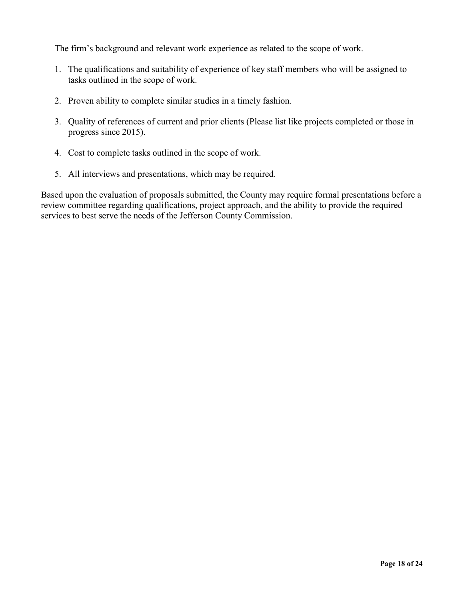The firm's background and relevant work experience as related to the scope of work.

- 1. The qualifications and suitability of experience of key staff members who will be assigned to tasks outlined in the scope of work.
- 2. Proven ability to complete similar studies in a timely fashion.
- 3. Quality of references of current and prior clients (Please list like projects completed or those in progress since 2015).
- 4. Cost to complete tasks outlined in the scope of work.
- 5. All interviews and presentations, which may be required.

Based upon the evaluation of proposals submitted, the County may require formal presentations before a review committee regarding qualifications, project approach, and the ability to provide the required services to best serve the needs of the Jefferson County Commission.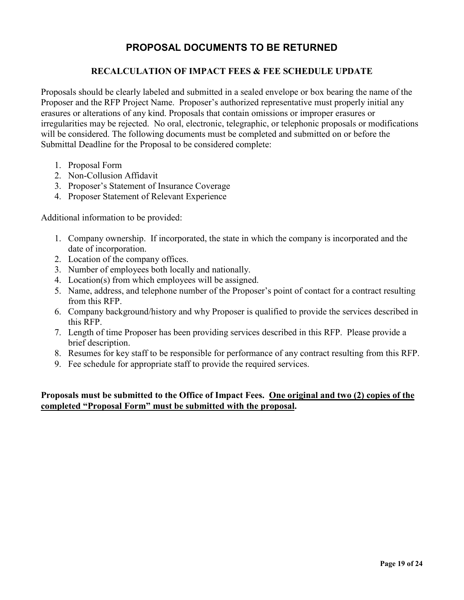### **PROPOSAL DOCUMENTS TO BE RETURNED**

#### **RECALCULATION OF IMPACT FEES & FEE SCHEDULE UPDATE**

<span id="page-18-0"></span>Proposals should be clearly labeled and submitted in a sealed envelope or box bearing the name of the Proposer and the RFP Project Name. Proposer's authorized representative must properly initial any erasures or alterations of any kind. Proposals that contain omissions or improper erasures or irregularities may be rejected. No oral, electronic, telegraphic, or telephonic proposals or modifications will be considered. The following documents must be completed and submitted on or before the Submittal Deadline for the Proposal to be considered complete:

- 1. Proposal Form
- 2. Non-Collusion Affidavit
- 3. Proposer's Statement of Insurance Coverage
- 4. Proposer Statement of Relevant Experience

Additional information to be provided:

- 1. Company ownership. If incorporated, the state in which the company is incorporated and the date of incorporation.
- 2. Location of the company offices.
- 3. Number of employees both locally and nationally.
- 4. Location(s) from which employees will be assigned.
- 5. Name, address, and telephone number of the Proposer's point of contact for a contract resulting from this RFP.
- 6. Company background/history and why Proposer is qualified to provide the services described in this RFP.
- 7. Length of time Proposer has been providing services described in this RFP. Please provide a brief description.
- 8. Resumes for key staff to be responsible for performance of any contract resulting from this RFP.
- 9. Fee schedule for appropriate staff to provide the required services.

#### **Proposals must be submitted to the Office of Impact Fees. One original and two (2) copies of the completed "Proposal Form" must be submitted with the proposal.**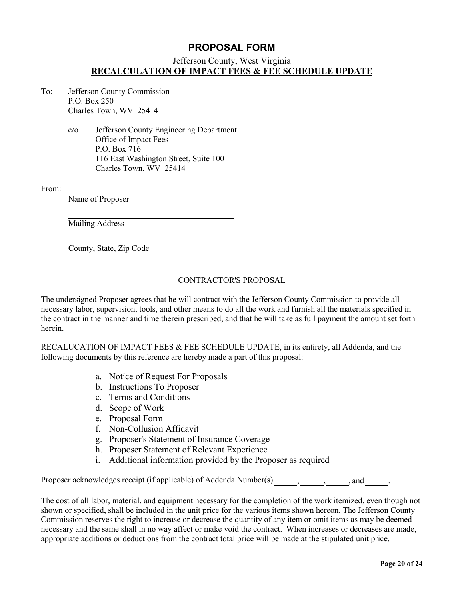#### **PROPOSAL FORM**

#### Jefferson County, West Virginia **RECALCULATION OF IMPACT FEES & FEE SCHEDULE UPDATE**

- <span id="page-19-0"></span>To: Jefferson County Commission P.O. Box 250 Charles Town, WV 25414
	- c/o Jefferson County Engineering Department Office of Impact Fees P.O. Box 716 116 East Washington Street, Suite 100 Charles Town, WV 25414

From:

Name of Proposer

Mailing Address

County, State, Zip Code

#### CONTRACTOR'S PROPOSAL

The undersigned Proposer agrees that he will contract with the Jefferson County Commission to provide all necessary labor, supervision, tools, and other means to do all the work and furnish all the materials specified in the contract in the manner and time therein prescribed, and that he will take as full payment the amount set forth herein.

RECALUCATION OF IMPACT FEES & FEE SCHEDULE UPDATE, in its entirety, all Addenda, and the following documents by this reference are hereby made a part of this proposal:

- a. Notice of Request For Proposals
- b. Instructions To Proposer
- c. Terms and Conditions
- d. Scope of Work
- e. Proposal Form
- f. Non-Collusion Affidavit
- g. Proposer's Statement of Insurance Coverage
- h. Proposer Statement of Relevant Experience
- i. Additional information provided by the Proposer as required

Proposer acknowledges receipt (if applicable) of Addenda Number(s) , , , , and .

The cost of all labor, material, and equipment necessary for the completion of the work itemized, even though not shown or specified, shall be included in the unit price for the various items shown hereon. The Jefferson County Commission reserves the right to increase or decrease the quantity of any item or omit items as may be deemed necessary and the same shall in no way affect or make void the contract. When increases or decreases are made, appropriate additions or deductions from the contract total price will be made at the stipulated unit price.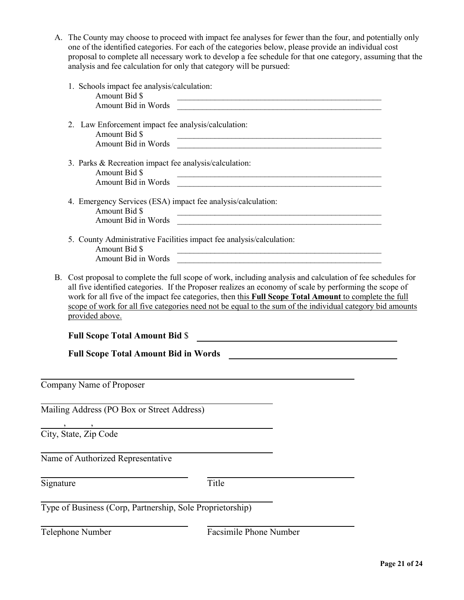| A. The County may choose to proceed with impact fee analyses for fewer than the four, and potentially only |
|------------------------------------------------------------------------------------------------------------|
| one of the identified categories. For each of the categories below, please provide an individual cost      |
| proposal to complete all necessary work to develop a fee schedule for that one category, assuming that the |
| analysis and fee calculation for only that category will be pursued:                                       |

|                  | 1. Schools impact fee analysis/calculation:<br>Amount Bid \$                                                 |                                                                                                                                                                                                                                                                                                                                                                                                                                                |  |
|------------------|--------------------------------------------------------------------------------------------------------------|------------------------------------------------------------------------------------------------------------------------------------------------------------------------------------------------------------------------------------------------------------------------------------------------------------------------------------------------------------------------------------------------------------------------------------------------|--|
|                  | Amount Bid in Words                                                                                          | <u> 2000 - Jan Barnett, mars ann an t-Amhain ann an t-Amhain ann an t-Amhain an t-Amhain ann an t-Amhain an t-Amh</u>                                                                                                                                                                                                                                                                                                                          |  |
|                  | 2. Law Enforcement impact fee analysis/calculation:<br>Amount Bid \$                                         |                                                                                                                                                                                                                                                                                                                                                                                                                                                |  |
|                  | Amount Bid in Words                                                                                          | <u> 1980 - Johann John Stein, markin fan it fjort fan it fjort fan it fjort fan it fjort fan it fjort fan it fjort f</u>                                                                                                                                                                                                                                                                                                                       |  |
|                  | 3. Parks & Recreation impact fee analysis/calculation:<br>Amount Bid \$<br>Amount Bid in Words               |                                                                                                                                                                                                                                                                                                                                                                                                                                                |  |
|                  | 4. Emergency Services (ESA) impact fee analysis/calculation:<br>Amount Bid \$<br>Amount Bid in Words         |                                                                                                                                                                                                                                                                                                                                                                                                                                                |  |
|                  | 5. County Administrative Facilities impact fee analysis/calculation:<br>Amount Bid \$<br>Amount Bid in Words |                                                                                                                                                                                                                                                                                                                                                                                                                                                |  |
|                  |                                                                                                              | B. Cost proposal to complete the full scope of work, including analysis and calculation of fee schedules for<br>all five identified categories. If the Proposer realizes an economy of scale by performing the scope of<br>work for all five of the impact fee categories, then this Full Scope Total Amount to complete the full<br>scope of work for all five categories need not be equal to the sum of the individual category bid amounts |  |
|                  | provided above.                                                                                              |                                                                                                                                                                                                                                                                                                                                                                                                                                                |  |
|                  |                                                                                                              |                                                                                                                                                                                                                                                                                                                                                                                                                                                |  |
|                  | <b>Full Scope Total Amount Bid \$</b>                                                                        |                                                                                                                                                                                                                                                                                                                                                                                                                                                |  |
|                  | <b>Full Scope Total Amount Bid in Words</b>                                                                  |                                                                                                                                                                                                                                                                                                                                                                                                                                                |  |
|                  |                                                                                                              |                                                                                                                                                                                                                                                                                                                                                                                                                                                |  |
|                  | Company Name of Proposer                                                                                     |                                                                                                                                                                                                                                                                                                                                                                                                                                                |  |
|                  | Mailing Address (PO Box or Street Address)                                                                   |                                                                                                                                                                                                                                                                                                                                                                                                                                                |  |
|                  |                                                                                                              |                                                                                                                                                                                                                                                                                                                                                                                                                                                |  |
|                  | City, State, Zip Code                                                                                        |                                                                                                                                                                                                                                                                                                                                                                                                                                                |  |
|                  | Name of Authorized Representative                                                                            |                                                                                                                                                                                                                                                                                                                                                                                                                                                |  |
|                  |                                                                                                              |                                                                                                                                                                                                                                                                                                                                                                                                                                                |  |
| Signature        |                                                                                                              | Title                                                                                                                                                                                                                                                                                                                                                                                                                                          |  |
|                  | Type of Business (Corp, Partnership, Sole Proprietorship)                                                    |                                                                                                                                                                                                                                                                                                                                                                                                                                                |  |
|                  |                                                                                                              |                                                                                                                                                                                                                                                                                                                                                                                                                                                |  |
| Telephone Number |                                                                                                              | Facsimile Phone Number                                                                                                                                                                                                                                                                                                                                                                                                                         |  |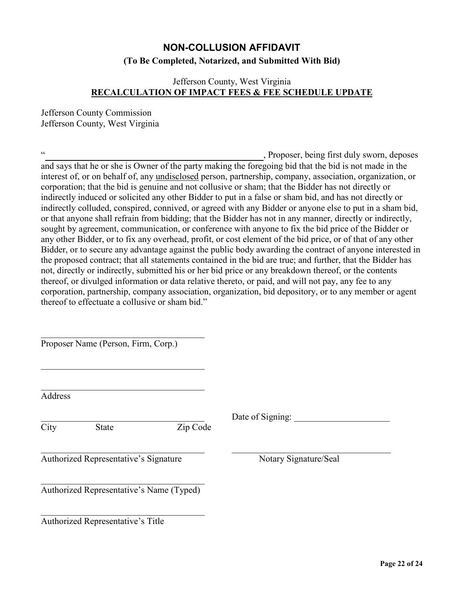## **NON-COLLUSION AFFIDAVIT (To Be Completed, Notarized, and Submitted With Bid)**

#### <span id="page-21-0"></span>Jefferson County, West Virginia **RECALCULATION OF IMPACT FEES & FEE SCHEDULE UPDATE**

Jefferson County Commission Jefferson County, West Virginia

" **Manufacture 2018**, Proposer, being first duly sworn, deposes and says that he or she is Owner of the party making the foregoing bid that the bid is not made in the interest of, or on behalf of, any undisclosed person, partnership, company, association, organization, or corporation; that the bid is genuine and not collusive or sham; that the Bidder has not directly or indirectly induced or solicited any other Bidder to put in a false or sham bid, and has not directly or indirectly colluded, conspired, connived, or agreed with any Bidder or anyone else to put in a sham bid, or that anyone shall refrain from bidding; that the Bidder has not in any manner, directly or indirectly, sought by agreement, communication, or conference with anyone to fix the bid price of the Bidder or any other Bidder, or to fix any overhead, profit, or cost element of the bid price, or of that of any other Bidder, or to secure any advantage against the public body awarding the contract of anyone interested in the proposed contract; that all statements contained in the bid are true; and further, that the Bidder has not, directly or indirectly, submitted his or her bid price or any breakdown thereof, or the contents thereof, or divulged information or data relative thereto, or paid, and will not pay, any fee to any corporation, partnership, company association, organization, bid depository, or to any member or agent thereof to effectuate a collusive or sham bid."

Proposer Name (Person, Firm, Corp.)

 $\mathcal{L}_\mathcal{L}$  , which is a set of the set of the set of the set of the set of the set of the set of the set of the set of the set of the set of the set of the set of the set of the set of the set of the set of the set of

Address

City State Zip Code

 $\mathcal{L}_\text{max}$  , and the contribution of the contribution of the contribution of the contribution of the contribution of the contribution of the contribution of the contribution of the contribution of the contribution of t

Date of Signing:

Authorized Representative's Signature Notary Signature/Seal

 $\mathcal{L}_\mathcal{L}$  , which is a set of the set of the set of the set of the set of the set of the set of the set of the set of the set of the set of the set of the set of the set of the set of the set of the set of the set of Authorized Representative's Name (Typed)

 $\mathcal{L}_\mathcal{L}$  , which is a set of the set of the set of the set of the set of the set of the set of the set of the set of the set of the set of the set of the set of the set of the set of the set of the set of the set of Authorized Representative's Title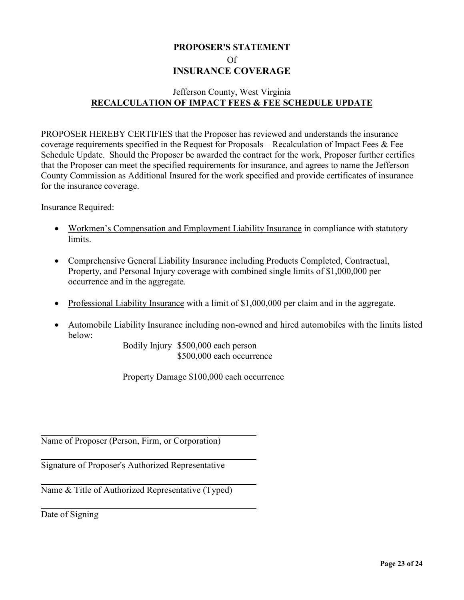### <span id="page-22-0"></span>**PROPOSER'S STATEMENT** Of **INSURANCE COVERAGE**

### Jefferson County, West Virginia **RECALCULATION OF IMPACT FEES & FEE SCHEDULE UPDATE**

PROPOSER HEREBY CERTIFIES that the Proposer has reviewed and understands the insurance coverage requirements specified in the Request for Proposals – Recalculation of Impact Fees & Fee Schedule Update. Should the Proposer be awarded the contract for the work, Proposer further certifies that the Proposer can meet the specified requirements for insurance, and agrees to name the Jefferson County Commission as Additional Insured for the work specified and provide certificates of insurance for the insurance coverage.

Insurance Required:

- Workmen's Compensation and Employment Liability Insurance in compliance with statutory limits.
- Comprehensive General Liability Insurance including Products Completed, Contractual, Property, and Personal Injury coverage with combined single limits of \$1,000,000 per occurrence and in the aggregate.
- Professional Liability Insurance with a limit of \$1,000,000 per claim and in the aggregate.
- Automobile Liability Insurance including non-owned and hired automobiles with the limits listed below:

Bodily Injury \$500,000 each person \$500,000 each occurrence

Property Damage \$100,000 each occurrence

Name of Proposer (Person, Firm, or Corporation)

Signature of Proposer's Authorized Representative

Name & Title of Authorized Representative (Typed)

Date of Signing